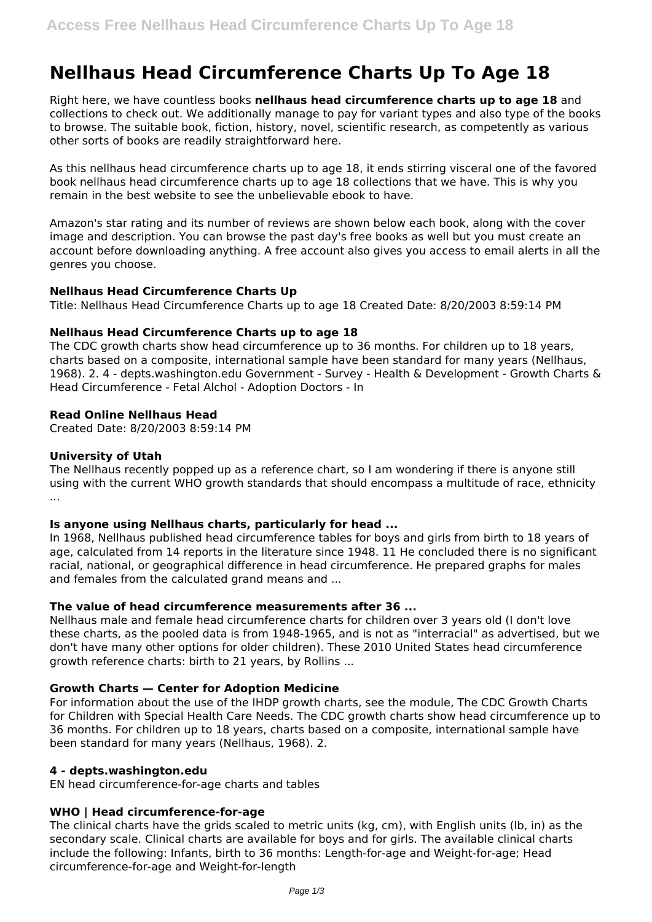# **Nellhaus Head Circumference Charts Up To Age 18**

Right here, we have countless books **nellhaus head circumference charts up to age 18** and collections to check out. We additionally manage to pay for variant types and also type of the books to browse. The suitable book, fiction, history, novel, scientific research, as competently as various other sorts of books are readily straightforward here.

As this nellhaus head circumference charts up to age 18, it ends stirring visceral one of the favored book nellhaus head circumference charts up to age 18 collections that we have. This is why you remain in the best website to see the unbelievable ebook to have.

Amazon's star rating and its number of reviews are shown below each book, along with the cover image and description. You can browse the past day's free books as well but you must create an account before downloading anything. A free account also gives you access to email alerts in all the genres you choose.

## **Nellhaus Head Circumference Charts Up**

Title: Nellhaus Head Circumference Charts up to age 18 Created Date: 8/20/2003 8:59:14 PM

## **Nellhaus Head Circumference Charts up to age 18**

The CDC growth charts show head circumference up to 36 months. For children up to 18 years, charts based on a composite, international sample have been standard for many years (Nellhaus, 1968). 2. 4 - depts.washington.edu Government - Survey - Health & Development - Growth Charts & Head Circumference - Fetal Alchol - Adoption Doctors - In

## **Read Online Nellhaus Head**

Created Date: 8/20/2003 8:59:14 PM

## **University of Utah**

The Nellhaus recently popped up as a reference chart, so I am wondering if there is anyone still using with the current WHO growth standards that should encompass a multitude of race, ethnicity ...

## **Is anyone using Nellhaus charts, particularly for head ...**

In 1968, Nellhaus published head circumference tables for boys and girls from birth to 18 years of age, calculated from 14 reports in the literature since 1948. 11 He concluded there is no significant racial, national, or geographical difference in head circumference. He prepared graphs for males and females from the calculated grand means and ...

## **The value of head circumference measurements after 36 ...**

Nellhaus male and female head circumference charts for children over 3 years old (I don't love these charts, as the pooled data is from 1948-1965, and is not as "interracial" as advertised, but we don't have many other options for older children). These 2010 United States head circumference growth reference charts: birth to 21 years, by Rollins ...

#### **Growth Charts — Center for Adoption Medicine**

For information about the use of the IHDP growth charts, see the module, The CDC Growth Charts for Children with Special Health Care Needs. The CDC growth charts show head circumference up to 36 months. For children up to 18 years, charts based on a composite, international sample have been standard for many years (Nellhaus, 1968). 2.

#### **4 - depts.washington.edu**

EN head circumference-for-age charts and tables

#### **WHO | Head circumference-for-age**

The clinical charts have the grids scaled to metric units (kg, cm), with English units (lb, in) as the secondary scale. Clinical charts are available for boys and for girls. The available clinical charts include the following: Infants, birth to 36 months: Length-for-age and Weight-for-age; Head circumference-for-age and Weight-for-length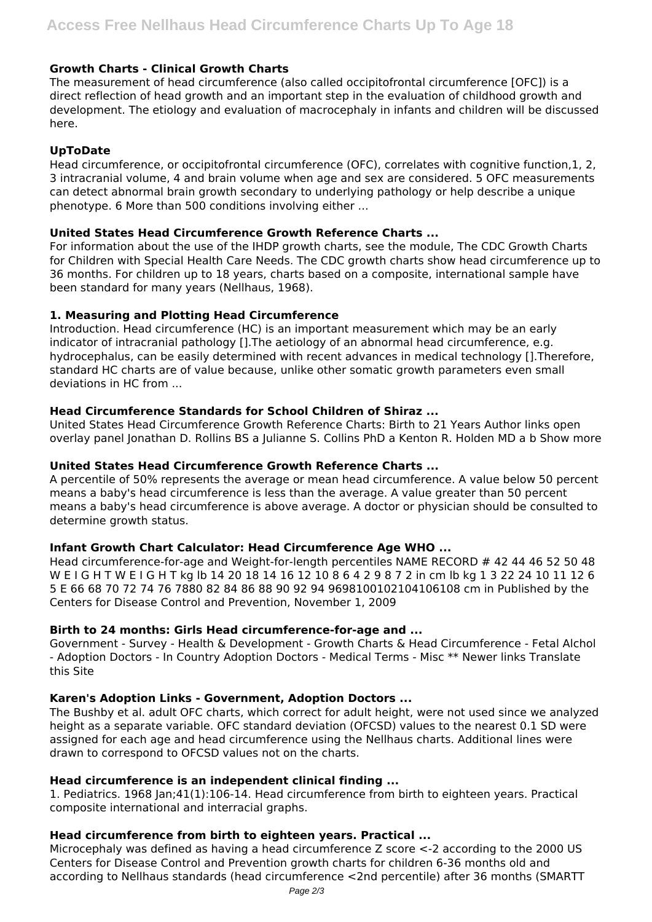# **Growth Charts - Clinical Growth Charts**

The measurement of head circumference (also called occipitofrontal circumference [OFC]) is a direct reflection of head growth and an important step in the evaluation of childhood growth and development. The etiology and evaluation of macrocephaly in infants and children will be discussed here.

# **UpToDate**

Head circumference, or occipitofrontal circumference (OFC), correlates with cognitive function,1, 2, 3 intracranial volume, 4 and brain volume when age and sex are considered. 5 OFC measurements can detect abnormal brain growth secondary to underlying pathology or help describe a unique phenotype. 6 More than 500 conditions involving either ...

## **United States Head Circumference Growth Reference Charts ...**

For information about the use of the IHDP growth charts, see the module, The CDC Growth Charts for Children with Special Health Care Needs. The CDC growth charts show head circumference up to 36 months. For children up to 18 years, charts based on a composite, international sample have been standard for many years (Nellhaus, 1968).

## **1. Measuring and Plotting Head Circumference**

Introduction. Head circumference (HC) is an important measurement which may be an early indicator of intracranial pathology [].The aetiology of an abnormal head circumference, e.g. hydrocephalus, can be easily determined with recent advances in medical technology [].Therefore, standard HC charts are of value because, unlike other somatic growth parameters even small deviations in HC from ...

## **Head Circumference Standards for School Children of Shiraz ...**

United States Head Circumference Growth Reference Charts: Birth to 21 Years Author links open overlay panel Jonathan D. Rollins BS a Julianne S. Collins PhD a Kenton R. Holden MD a b Show more

### **United States Head Circumference Growth Reference Charts ...**

A percentile of 50% represents the average or mean head circumference. A value below 50 percent means a baby's head circumference is less than the average. A value greater than 50 percent means a baby's head circumference is above average. A doctor or physician should be consulted to determine growth status.

#### **Infant Growth Chart Calculator: Head Circumference Age WHO ...**

Head circumference-for-age and Weight-for-length percentiles NAME RECORD # 42 44 46 52 50 48 W E I G H T W E I G H T kg lb 14 20 18 14 16 12 10 8 6 4 2 9 8 7 2 in cm lb kg 1 3 22 24 10 11 12 6 5 E 66 68 70 72 74 76 7880 82 84 86 88 90 92 94 9698100102104106108 cm in Published by the Centers for Disease Control and Prevention, November 1, 2009

# **Birth to 24 months: Girls Head circumference-for-age and ...**

Government - Survey - Health & Development - Growth Charts & Head Circumference - Fetal Alchol - Adoption Doctors - In Country Adoption Doctors - Medical Terms - Misc \*\* Newer links Translate this Site

# **Karen's Adoption Links - Government, Adoption Doctors ...**

The Bushby et al. adult OFC charts, which correct for adult height, were not used since we analyzed height as a separate variable. OFC standard deviation (OFCSD) values to the nearest 0.1 SD were assigned for each age and head circumference using the Nellhaus charts. Additional lines were drawn to correspond to OFCSD values not on the charts.

#### **Head circumference is an independent clinical finding ...**

1. Pediatrics. 1968 Jan;41(1):106-14. Head circumference from birth to eighteen years. Practical composite international and interracial graphs.

# **Head circumference from birth to eighteen years. Practical ...**

Microcephaly was defined as having a head circumference Z score <-2 according to the 2000 US Centers for Disease Control and Prevention growth charts for children 6-36 months old and according to Nellhaus standards (head circumference <2nd percentile) after 36 months (SMARTT